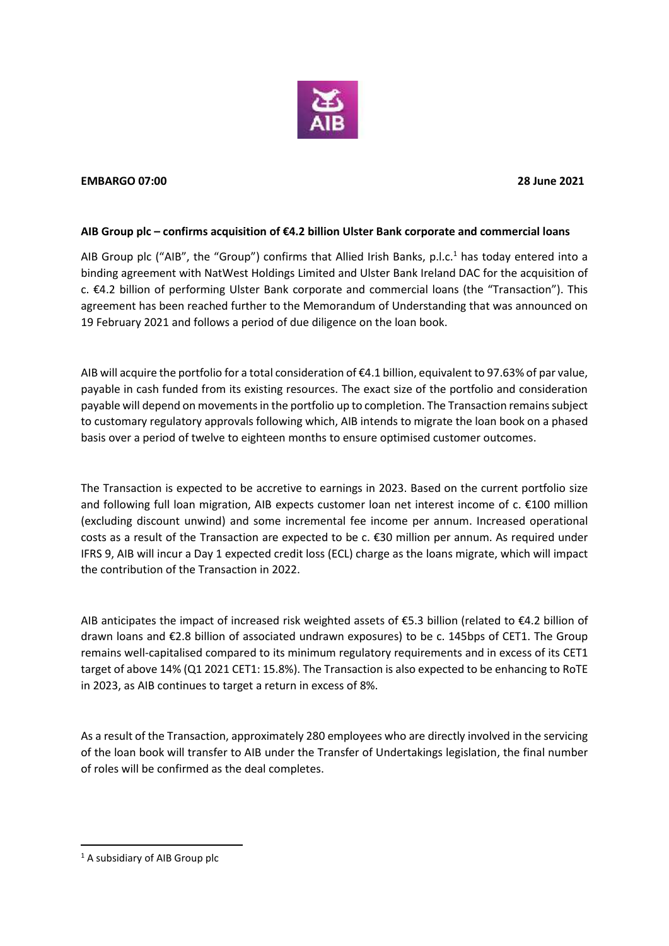

## **EMBARGO 07:00 28 June 2021**

## **AIB Group plc – confirms acquisition of €4.2 billion Ulster Bank corporate and commercial loans**

AIB Group plc ("AIB", the "Group") confirms that Allied Irish Banks, p.l.c.<sup>1</sup> has today entered into a binding agreement with NatWest Holdings Limited and Ulster Bank Ireland DAC for the acquisition of c. €4.2 billion of performing Ulster Bank corporate and commercial loans (the "Transaction"). This agreement has been reached further to the Memorandum of Understanding that was announced on 19 February 2021 and follows a period of due diligence on the loan book.

AIB will acquire the portfolio for a total consideration of €4.1 billion, equivalent to 97.63% of par value, payable in cash funded from its existing resources. The exact size of the portfolio and consideration payable will depend on movements in the portfolio up to completion. The Transaction remains subject to customary regulatory approvals following which, AIB intends to migrate the loan book on a phased basis over a period of twelve to eighteen months to ensure optimised customer outcomes.

The Transaction is expected to be accretive to earnings in 2023. Based on the current portfolio size and following full loan migration, AIB expects customer loan net interest income of c. €100 million (excluding discount unwind) and some incremental fee income per annum. Increased operational costs as a result of the Transaction are expected to be c. €30 million per annum. As required under IFRS 9, AIB will incur a Day 1 expected credit loss (ECL) charge as the loans migrate, which will impact the contribution of the Transaction in 2022.

AIB anticipates the impact of increased risk weighted assets of  $\epsilon$ 5.3 billion (related to  $\epsilon$ 4.2 billion of drawn loans and €2.8 billion of associated undrawn exposures) to be c. 145bps of CET1. The Group remains well-capitalised compared to its minimum regulatory requirements and in excess of its CET1 target of above 14% (Q1 2021 CET1: 15.8%). The Transaction is also expected to be enhancing to RoTE in 2023, as AIB continues to target a return in excess of 8%.

As a result of the Transaction, approximately 280 employees who are directly involved in the servicing of the loan book will transfer to AIB under the Transfer of Undertakings legislation, the final number of roles will be confirmed as the deal completes.

<sup>&</sup>lt;sup>1</sup> A subsidiary of AIB Group plc